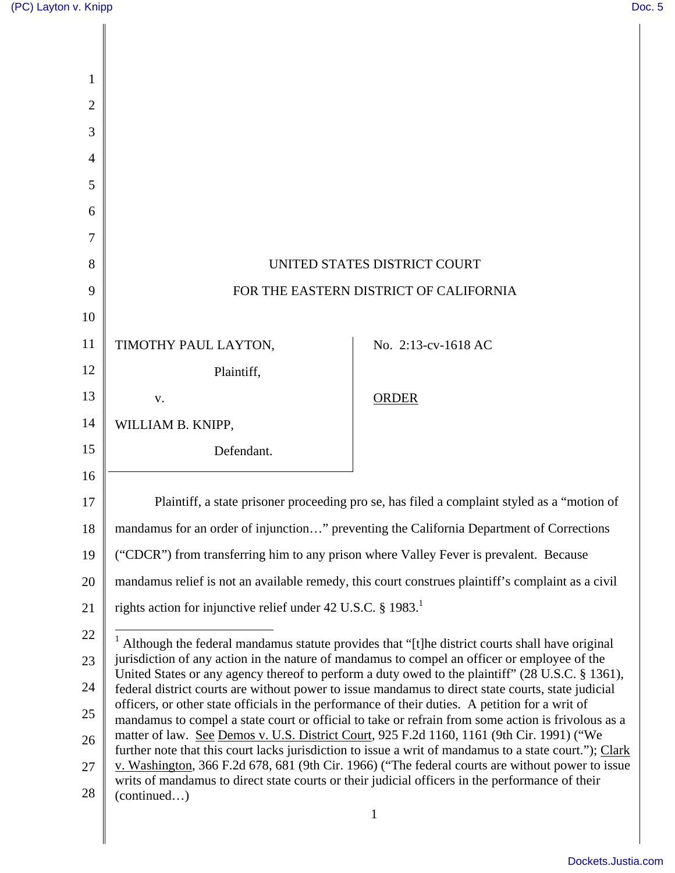Ш

| 1              |                                                                                                                                                                                                                                                                                                             |                     |  |
|----------------|-------------------------------------------------------------------------------------------------------------------------------------------------------------------------------------------------------------------------------------------------------------------------------------------------------------|---------------------|--|
| $\overline{2}$ |                                                                                                                                                                                                                                                                                                             |                     |  |
| 3              |                                                                                                                                                                                                                                                                                                             |                     |  |
| $\overline{4}$ |                                                                                                                                                                                                                                                                                                             |                     |  |
| 5              |                                                                                                                                                                                                                                                                                                             |                     |  |
| 6              |                                                                                                                                                                                                                                                                                                             |                     |  |
| 7              |                                                                                                                                                                                                                                                                                                             |                     |  |
| 8              | UNITED STATES DISTRICT COURT                                                                                                                                                                                                                                                                                |                     |  |
| 9              | FOR THE EASTERN DISTRICT OF CALIFORNIA                                                                                                                                                                                                                                                                      |                     |  |
| 10             |                                                                                                                                                                                                                                                                                                             |                     |  |
| 11             | TIMOTHY PAUL LAYTON,                                                                                                                                                                                                                                                                                        | No. 2:13-cv-1618 AC |  |
| 12             | Plaintiff,                                                                                                                                                                                                                                                                                                  |                     |  |
| 13             | V.                                                                                                                                                                                                                                                                                                          | <b>ORDER</b>        |  |
| 14             | WILLIAM B. KNIPP,                                                                                                                                                                                                                                                                                           |                     |  |
| 15             | Defendant.                                                                                                                                                                                                                                                                                                  |                     |  |
| 16             |                                                                                                                                                                                                                                                                                                             |                     |  |
| 17             | Plaintiff, a state prisoner proceeding pro se, has filed a complaint styled as a "motion of                                                                                                                                                                                                                 |                     |  |
| 18             | mandamus for an order of injunction" preventing the California Department of Corrections                                                                                                                                                                                                                    |                     |  |
| 19             | ("CDCR") from transferring him to any prison where Valley Fever is prevalent. Because                                                                                                                                                                                                                       |                     |  |
| 20             | mandamus relief is not an available remedy, this court construes plaintiff's complaint as a civil                                                                                                                                                                                                           |                     |  |
| 21             | rights action for injunctive relief under 42 U.S.C. § 1983.                                                                                                                                                                                                                                                 |                     |  |
| 22             | $1$ Although the federal mandamus statute provides that "[t] he district courts shall have original                                                                                                                                                                                                         |                     |  |
| 23             | jurisdiction of any action in the nature of mandamus to compel an officer or employee of the<br>United States or any agency thereof to perform a duty owed to the plaintiff" (28 U.S.C. § 1361),                                                                                                            |                     |  |
| 24             | federal district courts are without power to issue mandamus to direct state courts, state judicial<br>officers, or other state officials in the performance of their duties. A petition for a writ of<br>mandamus to compel a state court or official to take or refrain from some action is frivolous as a |                     |  |
| 25             |                                                                                                                                                                                                                                                                                                             |                     |  |
| 26             | matter of law. See Demos v. U.S. District Court, 925 F.2d 1160, 1161 (9th Cir. 1991) ("We<br>further note that this court lacks jurisdiction to issue a writ of mandamus to a state court."); Clark                                                                                                         |                     |  |
| 27             | v. Washington, 366 F.2d 678, 681 (9th Cir. 1966) ("The federal courts are without power to issue<br>writs of mandamus to direct state courts or their judicial officers in the performance of their                                                                                                         |                     |  |
| 28             | (continued)                                                                                                                                                                                                                                                                                                 |                     |  |
|                |                                                                                                                                                                                                                                                                                                             |                     |  |